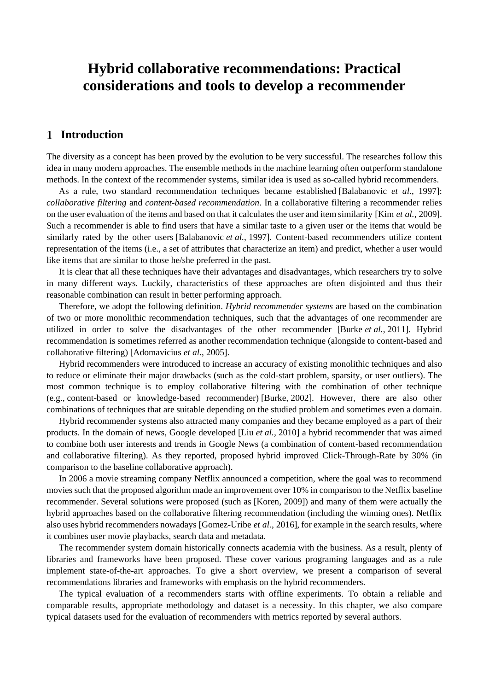# **Hybrid collaborative recommendations: Practical considerations and tools to develop a recommender**

# **Introduction**

The diversity as a concept has been proved by the evolution to be very successful. The researches follow this idea in many modern approaches. The ensemble methods in the machine learning often outperform standalone methods. In the context of the recommender systems, similar idea is used as so-called hybrid recommenders.

As a rule, two standard recommendation techniques became established [Balabanovic *et al.*, 1997]: *collaborative filtering* and *content-based recommendation*. In a collaborative filtering a recommender relies on the user evaluation of the items and based on that it calculates the user and item similarity [Kim *et al.*, 2009]. Such a recommender is able to find users that have a similar taste to a given user or the items that would be similarly rated by the other users [Balabanovic *et al.*, 1997]. Content-based recommenders utilize content representation of the items (i.e., a set of attributes that characterize an item) and predict, whether a user would like items that are similar to those he/she preferred in the past.

It is clear that all these techniques have their advantages and disadvantages, which researchers try to solve in many different ways. Luckily, characteristics of these approaches are often disjointed and thus their reasonable combination can result in better performing approach.

Therefore, we adopt the following definition. *Hybrid recommender systems* are based on the combination of two or more monolithic recommendation techniques, such that the advantages of one recommender are utilized in order to solve the disadvantages of the other recommender [Burke *et al.*, 2011]. Hybrid recommendation is sometimes referred as another recommendation technique (alongside to content-based and collaborative filtering) [Adomavicius *et al.*, 2005].

Hybrid recommenders were introduced to increase an accuracy of existing monolithic techniques and also to reduce or eliminate their major drawbacks (such as the cold-start problem, sparsity, or user outliers). The most common technique is to employ collaborative filtering with the combination of other technique (e.g., content-based or knowledge-based recommender) [Burke, 2002]. However, there are also other combinations of techniques that are suitable depending on the studied problem and sometimes even a domain.

Hybrid recommender systems also attracted many companies and they became employed as a part of their products. In the domain of news, Google developed [Liu *et al.,* 2010] a hybrid recommender that was aimed to combine both user interests and trends in Google News (a combination of content-based recommendation and collaborative filtering). As they reported, proposed hybrid improved Click-Through-Rate by 30% (in comparison to the baseline collaborative approach).

In 2006 a movie streaming company Netflix announced a competition, where the goal was to recommend movies such that the proposed algorithm made an improvement over 10% in comparison to the Netflix baseline recommender. Several solutions were proposed (such as [Koren, 2009]) and many of them were actually the hybrid approaches based on the collaborative filtering recommendation (including the winning ones). Netflix also uses hybrid recommenders nowadays [Gomez-Uribe *et al.*, 2016], for example in the search results, where it combines user movie playbacks, search data and metadata.

The recommender system domain historically connects academia with the business. As a result, plenty of libraries and frameworks have been proposed. These cover various programing languages and as a rule implement state-of-the-art approaches. To give a short overview, we present a comparison of several recommendations libraries and frameworks with emphasis on the hybrid recommenders.

The typical evaluation of a recommenders starts with offline experiments. To obtain a reliable and comparable results, appropriate methodology and dataset is a necessity. In this chapter, we also compare typical datasets used for the evaluation of recommenders with metrics reported by several authors.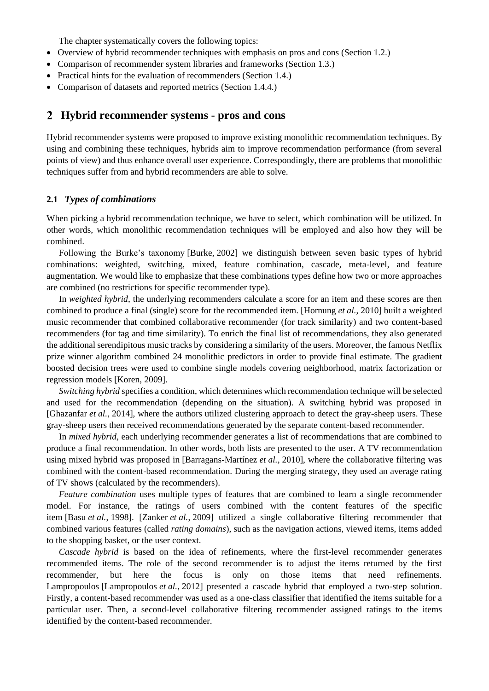The chapter systematically covers the following topics:

- Overview of hybrid recommender techniques with emphasis on pros and cons (Section 1.2.)
- Comparison of recommender system libraries and frameworks (Section 1.3.)
- Practical hints for the evaluation of recommenders (Section 1.4.)
- Comparison of datasets and reported metrics (Section 1.4.4.)

#### **Hybrid recommender systems - pros and cons**

Hybrid recommender systems were proposed to improve existing monolithic recommendation techniques. By using and combining these techniques, hybrids aim to improve recommendation performance (from several points of view) and thus enhance overall user experience. Correspondingly, there are problems that monolithic techniques suffer from and hybrid recommenders are able to solve.

#### **2.1** *Types of combinations*

When picking a hybrid recommendation technique, we have to select, which combination will be utilized. In other words, which monolithic recommendation techniques will be employed and also how they will be combined.

Following the Burke's taxonomy [Burke, 2002] we distinguish between seven basic types of hybrid combinations: weighted, switching, mixed, feature combination, cascade, meta-level, and feature augmentation. We would like to emphasize that these combinations types define how two or more approaches are combined (no restrictions for specific recommender type).

In *weighted hybrid*, the underlying recommenders calculate a score for an item and these scores are then combined to produce a final (single) score for the recommended item. [Hornung *et al.*, 2010] built a weighted music recommender that combined collaborative recommender (for track similarity) and two content-based recommenders (for tag and time similarity). To enrich the final list of recommendations, they also generated the additional serendipitous music tracks by considering a similarity of the users. Moreover, the famous Netflix prize winner algorithm combined 24 monolithic predictors in order to provide final estimate. The gradient boosted decision trees were used to combine single models covering neighborhood, matrix factorization or regression models [Koren, 2009].

*Switching hybrid* specifies a condition, which determines which recommendation technique will be selected and used for the recommendation (depending on the situation). A switching hybrid was proposed in [Ghazanfar *et al.*, 2014], where the authors utilized clustering approach to detect the gray-sheep users. These gray-sheep users then received recommendations generated by the separate content-based recommender.

In *mixed hybrid*, each underlying recommender generates a list of recommendations that are combined to produce a final recommendation. In other words, both lists are presented to the user. A TV recommendation using mixed hybrid was proposed in [Barragans-Martínez *et al.*, 2010], where the collaborative filtering was combined with the content-based recommendation. During the merging strategy, they used an average rating of TV shows (calculated by the recommenders).

*Feature combination* uses multiple types of features that are combined to learn a single recommender model. For instance, the ratings of users combined with the content features of the specific item [Basu *et al.*, 1998]. [Zanker *et al.*, 2009] utilized a single collaborative filtering recommender that combined various features (called *rating domains*), such as the navigation actions, viewed items, items added to the shopping basket, or the user context.

*Cascade hybrid* is based on the idea of refinements, where the first-level recommender generates recommended items. The role of the second recommender is to adjust the items returned by the first recommender, but here the focus is only on those items that need refinements. Lampropoulos [Lampropoulos *et al.*, 2012] presented a cascade hybrid that employed a two-step solution. Firstly, a content-based recommender was used as a one-class classifier that identified the items suitable for a particular user. Then, a second-level collaborative filtering recommender assigned ratings to the items identified by the content-based recommender.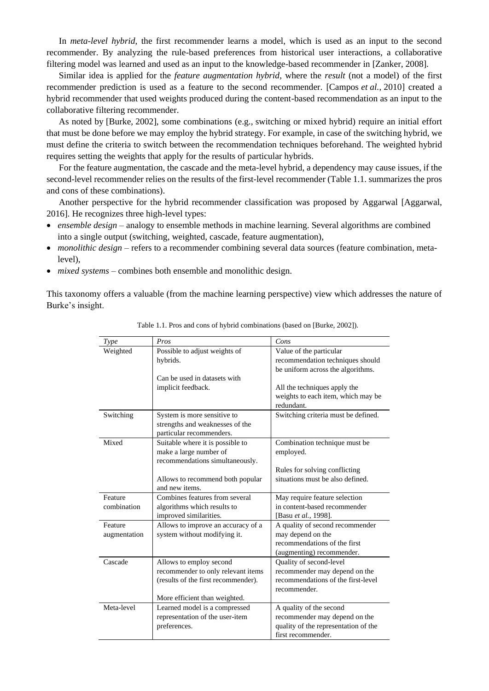In *meta-level hybrid*, the first recommender learns a model, which is used as an input to the second recommender. By analyzing the rule-based preferences from historical user interactions, a collaborative filtering model was learned and used as an input to the knowledge-based recommender in [Zanker, 2008].

Similar idea is applied for the *feature augmentation hybrid*, where the *result* (not a model) of the first recommender prediction is used as a feature to the second recommender. [Campos *et al.*, 2010] created a hybrid recommender that used weights produced during the content-based recommendation as an input to the collaborative filtering recommender.

As noted by [Burke, 2002], some combinations (e.g., switching or mixed hybrid) require an initial effort that must be done before we may employ the hybrid strategy. For example, in case of the switching hybrid, we must define the criteria to switch between the recommendation techniques beforehand. The weighted hybrid requires setting the weights that apply for the results of particular hybrids.

For the feature augmentation, the cascade and the meta-level hybrid, a dependency may cause issues, if the second-level recommender relies on the results of the first-level recommender (Table 1.1. summarizes the pros and cons of these combinations).

Another perspective for the hybrid recommender classification was proposed by Aggarwal [Aggarwal, 2016]. He recognizes three high-level types:

- *ensemble design* analogy to ensemble methods in machine learning. Several algorithms are combined into a single output (switching, weighted, cascade, feature augmentation),
- *monolithic design* refers to a recommender combining several data sources (feature combination, metalevel),
- *mixed systems* combines both ensemble and monolithic design.

This taxonomy offers a valuable (from the machine learning perspective) view which addresses the nature of Burke's insight.

| Type         | Pros                                               | Cons                                                              |
|--------------|----------------------------------------------------|-------------------------------------------------------------------|
| Weighted     | Possible to adjust weights of                      | Value of the particular                                           |
|              | hybrids.                                           | recommendation techniques should                                  |
|              |                                                    | be uniform across the algorithms.                                 |
|              | Can be used in datasets with                       |                                                                   |
|              | implicit feedback.                                 | All the techniques apply the                                      |
|              |                                                    | weights to each item, which may be                                |
|              |                                                    | redundant.                                                        |
| Switching    | System is more sensitive to                        | Switching criteria must be defined.                               |
|              | strengths and weaknesses of the                    |                                                                   |
|              | particular recommenders.                           |                                                                   |
| Mixed        | Suitable where it is possible to                   | Combination technique must be                                     |
|              | make a large number of                             | employed.                                                         |
|              | recommendations simultaneously.                    |                                                                   |
|              |                                                    | Rules for solving conflicting<br>situations must be also defined. |
|              | Allows to recommend both popular<br>and new items. |                                                                   |
| Feature      | Combines features from several                     | May require feature selection                                     |
| combination  | algorithms which results to                        | in content-based recommender                                      |
|              | improved similarities.                             | [Basu et al., 1998].                                              |
| Feature      | Allows to improve an accuracy of a                 | A quality of second recommender                                   |
| augmentation | system without modifying it.                       | may depend on the                                                 |
|              |                                                    | recommendations of the first                                      |
|              |                                                    | (augmenting) recommender.                                         |
| Cascade      | Allows to employ second                            | Quality of second-level                                           |
|              | recommender to only relevant items                 | recommender may depend on the                                     |
|              | (results of the first recommender).                | recommendations of the first-level                                |
|              |                                                    | recommender.                                                      |
|              | More efficient than weighted.                      |                                                                   |
| Meta-level   | Learned model is a compressed                      | A quality of the second                                           |
|              | representation of the user-item                    | recommender may depend on the                                     |
|              | preferences.                                       | quality of the representation of the                              |
|              |                                                    | first recommender.                                                |

Table 1.1. Pros and cons of hybrid combinations (based on [Burke, 2002]).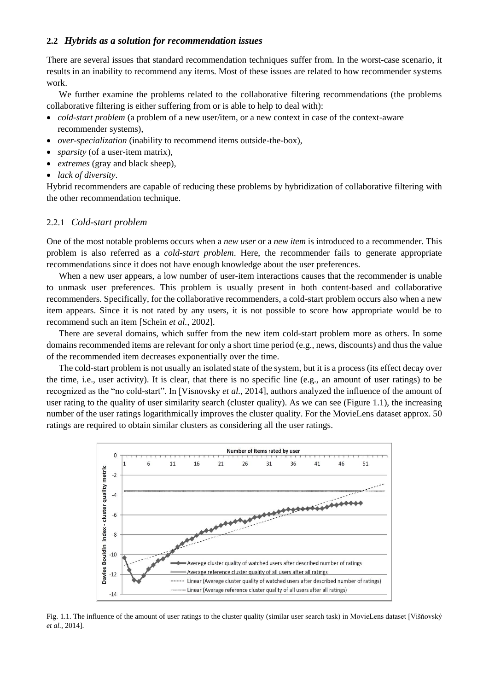#### **2.2** *Hybrids as a solution for recommendation issues*

There are several issues that standard recommendation techniques suffer from. In the worst-case scenario, it results in an inability to recommend any items. Most of these issues are related to how recommender systems work.

We further examine the problems related to the collaborative filtering recommendations (the problems collaborative filtering is either suffering from or is able to help to deal with):

- *cold-start problem* (a problem of a new user/item, or a new context in case of the context-aware recommender systems),
- *over-specialization* (inability to recommend items outside-the-box),
- *sparsity* (of a user-item matrix),
- *extremes* (gray and black sheep),
- *lack of diversity*.

Hybrid recommenders are capable of reducing these problems by hybridization of collaborative filtering with the other recommendation technique.

#### 2.2.1 *Cold-start problem*

One of the most notable problems occurs when a *new user* or a *new item* is introduced to a recommender. This problem is also referred as a *cold-start problem*. Here, the recommender fails to generate appropriate recommendations since it does not have enough knowledge about the user preferences.

When a new user appears, a low number of user-item interactions causes that the recommender is unable to unmask user preferences. This problem is usually present in both content-based and collaborative recommenders. Specifically, for the collaborative recommenders, a cold-start problem occurs also when a new item appears. Since it is not rated by any users, it is not possible to score how appropriate would be to recommend such an item [Schein *et al.*, 2002].

There are several domains, which suffer from the new item cold-start problem more as others. In some domains recommended items are relevant for only a short time period (e.g., news, discounts) and thus the value of the recommended item decreases exponentially over the time.

The cold-start problem is not usually an isolated state of the system, but it is a process (its effect decay over the time, i.e., user activity). It is clear, that there is no specific line (e.g., an amount of user ratings) to be recognized as the "no cold-start". In [Visnovsky *et al.*, 2014], authors analyzed the influence of the amount of user rating to the quality of user similarity search (cluster quality). As we can see (Figure 1.1), the increasing number of the user ratings logarithmically improves the cluster quality. For the MovieLens dataset approx. 50 ratings are required to obtain similar clusters as considering all the user ratings.



Fig. 1.1. The influence of the amount of user ratings to the cluster quality (similar user search task) in MovieLens dataset [Višňovský *et al.*, 2014].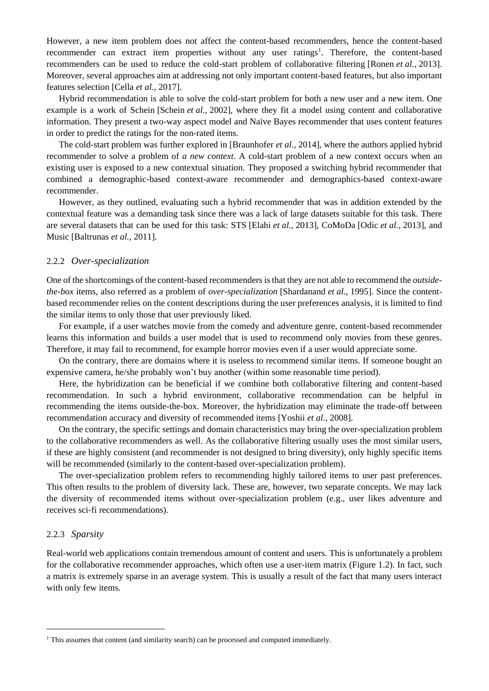However, a new item problem does not affect the content-based recommenders, hence the content-based recommender can extract item properties without any user ratings<sup>1</sup>. Therefore, the content-based recommenders can be used to reduce the cold-start problem of collaborative filtering [Ronen *et al.*, 2013]. Moreover, several approaches aim at addressing not only important content-based features, but also important features selection [Cella *et al.*, 2017].

Hybrid recommendation is able to solve the cold-start problem for both a new user and a new item. One example is a work of Schein [Schein *et al.*, 2002], where they fit a model using content and collaborative information. They present a two-way aspect model and Naïve Bayes recommender that uses content features in order to predict the ratings for the non-rated items.

The cold-start problem was further explored in [Braunhofer *et al.*, 2014], where the authors applied hybrid recommender to solve a problem of *a new context*. A cold-start problem of a new context occurs when an existing user is exposed to a new contextual situation. They proposed a switching hybrid recommender that combined a demographic-based context-aware recommender and demographics-based context-aware recommender.

However, as they outlined, evaluating such a hybrid recommender that was in addition extended by the contextual feature was a demanding task since there was a lack of large datasets suitable for this task. There are several datasets that can be used for this task: STS [Elahi *et al.*, 2013], CoMoDa [Odic *et al.*, 2013], and Music [Baltrunas *et al.*, 2011].

#### 2.2.2 *Over-specialization*

One of the shortcomings of the content-based recommenders is that they are not able to recommend the *outsidethe-box* items, also referred as a problem of *over-specialization* [Shardanand *et al.*, 1995]. Since the contentbased recommender relies on the content descriptions during the user preferences analysis, it is limited to find the similar items to only those that user previously liked.

For example, if a user watches movie from the comedy and adventure genre, content-based recommender learns this information and builds a user model that is used to recommend only movies from these genres. Therefore, it may fail to recommend, for example horror movies even if a user would appreciate some.

On the contrary, there are domains where it is useless to recommend similar items. If someone bought an expensive camera, he/she probably won't buy another (within some reasonable time period).

Here, the hybridization can be beneficial if we combine both collaborative filtering and content-based recommendation. In such a hybrid environment, collaborative recommendation can be helpful in recommending the items outside-the-box. Moreover, the hybridization may eliminate the trade-off between recommendation accuracy and diversity of recommended items [Yoshii *et al.*, 2008].

On the contrary, the specific settings and domain characteristics may bring the over-specialization problem to the collaborative recommenders as well. As the collaborative filtering usually uses the most similar users, if these are highly consistent (and recommender is not designed to bring diversity), only highly specific items will be recommended (similarly to the content-based over-specialization problem).

The over-specialization problem refers to recommending highly tailored items to user past preferences. This often results to the problem of diversity lack. These are, however, two separate concepts. We may lack the diversity of recommended items without over-specialization problem (e.g., user likes adventure and receives sci-fi recommendations).

#### 2.2.3 *Sparsity*

l

Real-world web applications contain tremendous amount of content and users. This is unfortunately a problem for the collaborative recommender approaches, which often use a user-item matrix (Figure 1.2). In fact, such a matrix is extremely sparse in an average system. This is usually a result of the fact that many users interact with only few items.

<sup>&</sup>lt;sup>1</sup> This assumes that content (and similarity search) can be processed and computed immediately.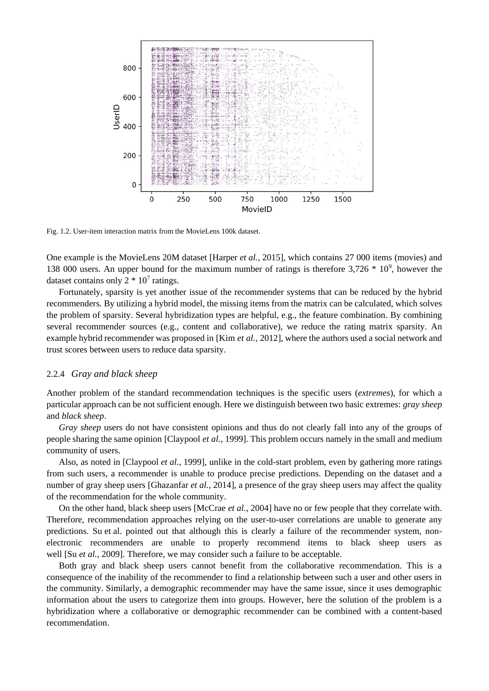

Fig. 1.2. User-item interaction matrix from the MovieLens 100k dataset.

One example is the MovieLens 20M dataset [Harper *et al.*, 2015], which contains 27 000 items (movies) and 138 000 users. An upper bound for the maximum number of ratings is therefore  $3,726 * 10^9$ , however the dataset contains only  $2 * 10<sup>7</sup>$  ratings.

Fortunately, sparsity is yet another issue of the recommender systems that can be reduced by the hybrid recommenders*.* By utilizing a hybrid model, the missing items from the matrix can be calculated, which solves the problem of sparsity. Several hybridization types are helpful, e.g., the feature combination. By combining several recommender sources (e.g., content and collaborative), we reduce the rating matrix sparsity. An example hybrid recommender was proposed in [Kim *et al.*, 2012], where the authors used a social network and trust scores between users to reduce data sparsity.

#### 2.2.4 *Gray and black sheep*

Another problem of the standard recommendation techniques is the specific users (*extremes*), for which a particular approach can be not sufficient enough. Here we distinguish between two basic extremes: *gray sheep*  and *black sheep*.

*Gray sheep* users do not have consistent opinions and thus do not clearly fall into any of the groups of people sharing the same opinion [Claypool *et al.*, 1999]. This problem occurs namely in the small and medium community of users.

Also, as noted in [Claypool *et al.*, 1999], unlike in the cold-start problem, even by gathering more ratings from such users, a recommender is unable to produce precise predictions. Depending on the dataset and a number of gray sheep users [Ghazanfar *et al.*, 2014], a presence of the gray sheep users may affect the quality of the recommendation for the whole community.

On the other hand, black sheep users [McCrae *et al.*, 2004] have no or few people that they correlate with. Therefore, recommendation approaches relying on the user-to-user correlations are unable to generate any predictions. Su et al. pointed out that although this is clearly a failure of the recommender system, nonelectronic recommenders are unable to properly recommend items to black sheep users as well [Su *et al.*, 2009]. Therefore, we may consider such a failure to be acceptable.

Both gray and black sheep users cannot benefit from the collaborative recommendation. This is a consequence of the inability of the recommender to find a relationship between such a user and other users in the community. Similarly, a demographic recommender may have the same issue, since it uses demographic information about the users to categorize them into groups. However, here the solution of the problem is a hybridization where a collaborative or demographic recommender can be combined with a content-based recommendation.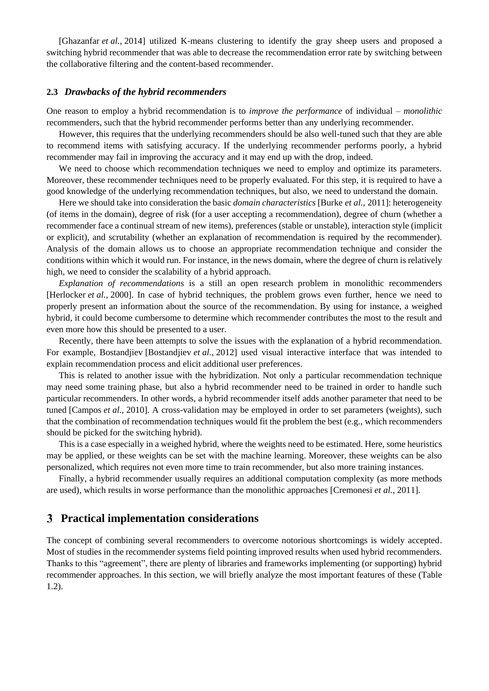[Ghazanfar *et al.*, 2014] utilized K-means clustering to identify the gray sheep users and proposed a switching hybrid recommender that was able to decrease the recommendation error rate by switching between the collaborative filtering and the content-based recommender.

#### **2.3** *Drawbacks of the hybrid recommenders*

One reason to employ a hybrid recommendation is to *improve the performance* of individual – *monolithic* recommenders, such that the hybrid recommender performs better than any underlying recommender.

However, this requires that the underlying recommenders should be also well-tuned such that they are able to recommend items with satisfying accuracy. If the underlying recommender performs poorly, a hybrid recommender may fail in improving the accuracy and it may end up with the drop, indeed.

We need to choose which recommendation techniques we need to employ and optimize its parameters. Moreover, these recommender techniques need to be properly evaluated. For this step, it is required to have a good knowledge of the underlying recommendation techniques, but also, we need to understand the domain.

Here we should take into consideration the basic *domain characteristics* [Burke *et al.*, 2011]: heterogeneity (of items in the domain), degree of risk (for a user accepting a recommendation), degree of churn (whether a recommender face a continual stream of new items), preferences (stable or unstable), interaction style (implicit or explicit), and scrutability (whether an explanation of recommendation is required by the recommender). Analysis of the domain allows us to choose an appropriate recommendation technique and consider the conditions within which it would run. For instance, in the news domain, where the degree of churn is relatively high, we need to consider the scalability of a hybrid approach.

*Explanation of recommendations* is a still an open research problem in monolithic recommenders [Herlocker *et al.*, 2000]. In case of hybrid techniques, the problem grows even further, hence we need to properly present an information about the source of the recommendation. By using for instance, a weighed hybrid, it could become cumbersome to determine which recommender contributes the most to the result and even more how this should be presented to a user.

Recently, there have been attempts to solve the issues with the explanation of a hybrid recommendation. For example, Bostandjiev [Bostandjiev *et al.*, 2012] used visual interactive interface that was intended to explain recommendation process and elicit additional user preferences.

This is related to another issue with the hybridization. Not only a particular recommendation technique may need some training phase, but also a hybrid recommender need to be trained in order to handle such particular recommenders. In other words, a hybrid recommender itself adds another parameter that need to be tuned [Campos *et al.*, 2010]. A cross-validation may be employed in order to set parameters (weights), such that the combination of recommendation techniques would fit the problem the best (e.g., which recommenders should be picked for the switching hybrid).

This is a case especially in a weighed hybrid, where the weights need to be estimated. Here, some heuristics may be applied, or these weights can be set with the machine learning. Moreover, these weights can be also personalized, which requires not even more time to train recommender, but also more training instances.

Finally, a hybrid recommender usually requires an additional computation complexity (as more methods are used), which results in worse performance than the monolithic approaches [Cremonesi *et al.*, 2011].

### **Practical implementation considerations**

The concept of combining several recommenders to overcome notorious shortcomings is widely accepted. Most of studies in the recommender systems field pointing improved results when used hybrid recommenders. Thanks to this "agreement", there are plenty of libraries and frameworks implementing (or supporting) hybrid recommender approaches. In this section, we will briefly analyze the most important features of these (Table 1.2).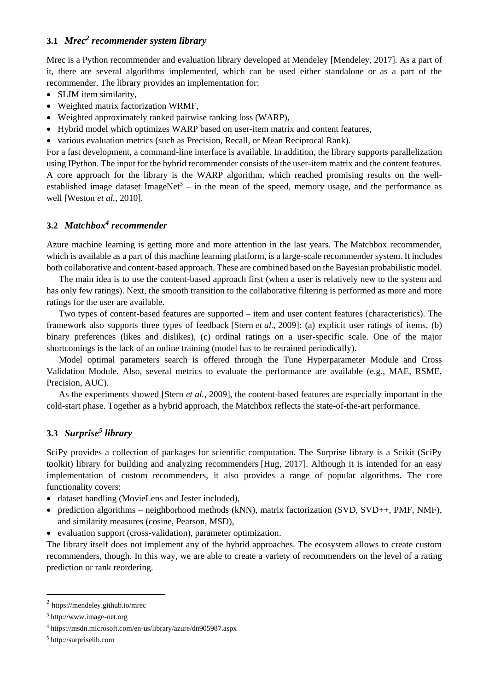### **3.1** *Mrec<sup>2</sup> recommender system library*

Mrec is a Python recommender and evaluation library developed at Mendeley [Mendeley, 2017]. As a part of it, there are several algorithms implemented, which can be used either standalone or as a part of the recommender. The library provides an implementation for:

- SLIM item similarity,
- Weighted matrix factorization WRMF,
- Weighted approximately ranked pairwise ranking loss (WARP),
- Hybrid model which optimizes WARP based on user-item matrix and content features,
- various evaluation metrics (such as Precision, Recall, or Mean Reciprocal Rank).

For a fast development, a command-line interface is available. In addition, the library supports parallelization using IPython. The input for the hybrid recommender consists of the user-item matrix and the content features. A core approach for the library is the WARP algorithm, which reached promising results on the wellestablished image dataset ImageNet<sup>3</sup> – in the mean of the speed, memory usage, and the performance as well [Weston *et al.*, 2010].

### **3.2** *Matchbox<sup>4</sup> recommender*

Azure machine learning is getting more and more attention in the last years. The Matchbox recommender, which is available as a part of this machine learning platform, is a large-scale recommender system. It includes both collaborative and content-based approach. These are combined based on the Bayesian probabilistic model.

The main idea is to use the content-based approach first (when a user is relatively new to the system and has only few ratings). Next, the smooth transition to the collaborative filtering is performed as more and more ratings for the user are available.

Two types of content-based features are supported – item and user content features (characteristics). The framework also supports three types of feedback [Stern *et al.*, 2009]: (a) explicit user ratings of items, (b) binary preferences (likes and dislikes), (c) ordinal ratings on a user-specific scale. One of the major shortcomings is the lack of an online training (model has to be retrained periodically).

Model optimal parameters search is offered through the Tune Hyperparameter Module and Cross Validation Module. Also, several metrics to evaluate the performance are available (e.g., MAE, RSME, Precision, AUC).

As the experiments showed [Stern *et al.*, 2009], the content-based features are especially important in the cold-start phase. Together as a hybrid approach, the Matchbox reflects the state-of-the-art performance.

# **3.3** *Surprise<sup>5</sup> library*

SciPy provides a collection of packages for scientific computation. The Surprise library is a Scikit (SciPy toolkit) library for building and analyzing recommenders [Hug, 2017]. Although it is intended for an easy implementation of custom recommenders, it also provides a range of popular algorithms. The core functionality covers:

- dataset handling (MovieLens and Jester included),
- prediction algorithms neighborhood methods (kNN), matrix factorization (SVD, SVD++, PMF, NMF), and similarity measures (cosine, Pearson, MSD),
- evaluation support (cross-validation), parameter optimization.

The library itself does not implement any of the hybrid approaches. The ecosystem allows to create custom recommenders, though. In this way, we are able to create a variety of recommenders on the level of a rating prediction or rank reordering.

<sup>2</sup> https://mendeley.github.io/mrec

<sup>3</sup> http://www.image-net.org

<sup>4</sup> https://msdn.microsoft.com/en-us/library/azure/dn905987.aspx

<sup>5</sup> http://surpriselib.com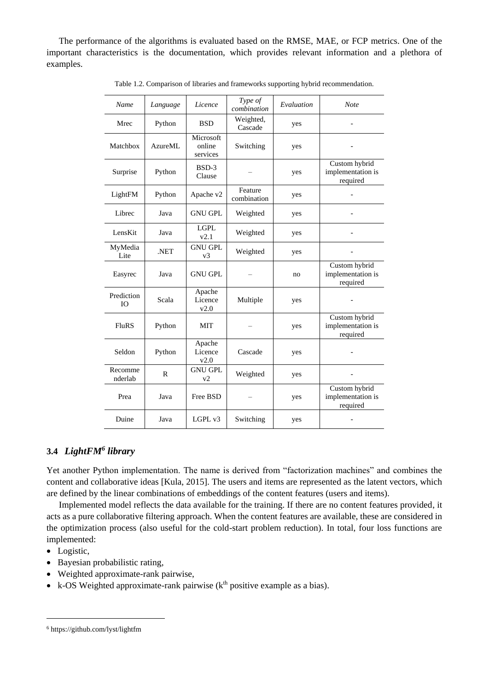The performance of the algorithms is evaluated based on the RMSE, MAE, or FCP metrics. One of the important characteristics is the documentation, which provides relevant information and a plethora of examples.

| Name                    | Language       | Licence                         | Type of<br>combination | Evaluation | <b>Note</b>                                    |
|-------------------------|----------------|---------------------------------|------------------------|------------|------------------------------------------------|
| Mrec                    | Python         | <b>BSD</b>                      | Weighted,<br>Cascade   | yes        |                                                |
| Matchbox                | <b>AzureML</b> | Microsoft<br>online<br>services | Switching              | yes        |                                                |
| Surprise                | Python         | $BSD-3$<br>Clause               |                        | yes        | Custom hybrid<br>implementation is<br>required |
| LightFM                 | Python         | Apache v2                       | Feature<br>combination | yes        |                                                |
| Librec                  | Java           | <b>GNU GPL</b>                  | Weighted               | yes        |                                                |
| LensKit                 | Java           | <b>LGPL</b><br>v2.1             | Weighted               | yes        |                                                |
| MyMedia<br>Lite         | .NET           | <b>GNU GPL</b><br>v3            | Weighted               | yes        |                                                |
| Easyrec                 | Java           | <b>GNU GPL</b>                  |                        | no         | Custom hybrid<br>implementation is<br>required |
| Prediction<br><b>IO</b> | Scala          | Apache<br>Licence<br>v2.0       | Multiple               | yes        |                                                |
| <b>FluRS</b>            | Python         | MIT                             |                        | yes        | Custom hybrid<br>implementation is<br>required |
| Seldon                  | Python         | Apache<br>Licence<br>v2.0       | Cascade                | yes        |                                                |
| Recomme<br>nderlab      | R              | <b>GNU GPL</b><br>v2            | Weighted               | yes        |                                                |
| Prea                    | Java           | Free BSD                        |                        | yes        | Custom hybrid<br>implementation is<br>required |
| Duine                   | Java           | LGPL v3                         | Switching              | yes        |                                                |

Table 1.2. Comparison of libraries and frameworks supporting hybrid recommendation.

### **3.4** *LightFM<sup>6</sup> library*

Yet another Python implementation. The name is derived from "factorization machines" and combines the content and collaborative ideas [Kula, 2015]. The users and items are represented as the latent vectors, which are defined by the linear combinations of embeddings of the content features (users and items).

Implemented model reflects the data available for the training. If there are no content features provided, it acts as a pure collaborative filtering approach. When the content features are available, these are considered in the optimization process (also useful for the cold-start problem reduction). In total, four loss functions are implemented:

• Logistic,

- Bayesian probabilistic rating,
- Weighted approximate-rank pairwise,
- k-OS Weighted approximate-rank pairwise  $(k<sup>th</sup>$  positive example as a bias).

<sup>6</sup> https://github.com/lyst/lightfm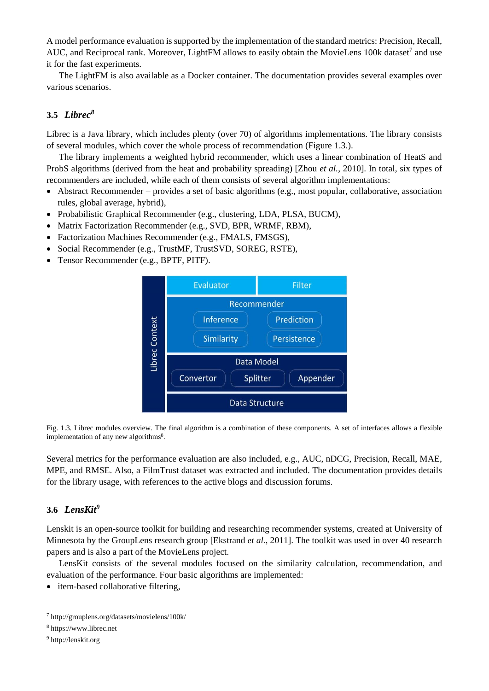A model performance evaluation is supported by the implementation of the standard metrics: Precision, Recall, AUC, and Reciprocal rank. Moreover, LightFM allows to easily obtain the MovieLens 100k dataset<sup>7</sup> and use it for the fast experiments.

The LightFM is also available as a Docker container. The documentation provides several examples over various scenarios.

## <span id="page-9-0"></span>**3.5** *Librec<sup>8</sup>*

Librec is a Java library, which includes plenty (over 70) of algorithms implementations. The library consists of several modules, which cover the whole process of recommendation (Figure 1.3.).

The library implements a weighted hybrid recommender, which uses a linear combination of HeatS and ProbS algorithms (derived from the heat and probability spreading) [Zhou *et al.*, 2010]. In total, six types of recommenders are included, while each of them consists of several algorithm implementations:

- $\bullet$  Abstract Recommender provides a set of basic algorithms (e.g., most popular, collaborative, association rules, global average, hybrid),
- Probabilistic Graphical Recommender (e.g., clustering, LDA, PLSA, BUCM),
- Matrix Factorization Recommender (e.g., SVD, BPR, WRMF, RBM),
- Factorization Machines Recommender (e.g., FMALS, FMSGS),
- Social Recommender (e.g., TrustMF, TrustSVD, SOREG, RSTE),
- Tensor Recommender (e.g., BPTF, PITF).



Fig. 1.3. Librec modules overview. The final algorithm is a combination of these components. A set of interfaces allows a flexible implementation of any new algorithm[s](#page-9-0)<sup>8</sup>.

Several metrics for the performance evaluation are also included, e.g., AUC, nDCG, Precision, Recall, MAE, MPE, and RMSE. Also, a FilmTrust dataset was extracted and included. The documentation provides details for the library usage, with references to the active blogs and discussion forums.

#### **3.6** *LensKit<sup>9</sup>*

Lenskit is an open-source toolkit for building and researching recommender systems, created at University of Minnesota by the GroupLens research group [Ekstrand *et al.*, 2011]. The toolkit was used in over 40 research papers and is also a part of the MovieLens project.

LensKit consists of the several modules focused on the similarity calculation, recommendation, and evaluation of the performance. Four basic algorithms are implemented:

• item-based collaborative filtering,

<sup>7</sup> http://grouplens.org/datasets/movielens/100k/

<sup>8</sup> https://www.librec.net

<sup>9</sup> http://lenskit.org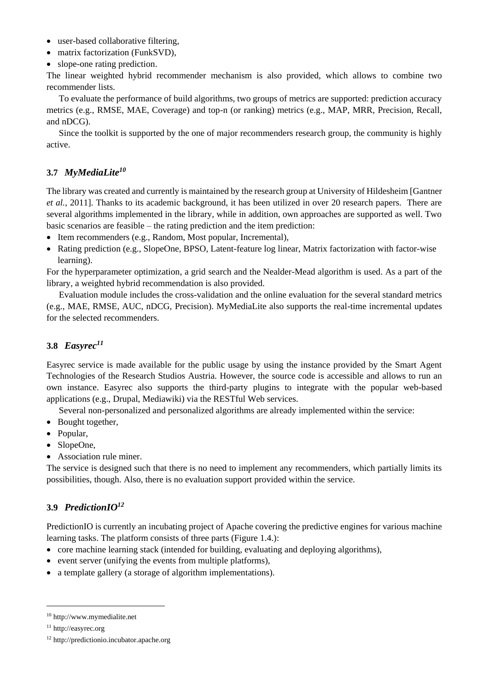- user-based collaborative filtering,
- matrix factorization (FunkSVD),
- slope-one rating prediction.

The linear weighted hybrid recommender mechanism is also provided, which allows to combine two recommender lists.

To evaluate the performance of build algorithms, two groups of metrics are supported: prediction accuracy metrics (e.g., RMSE, MAE, Coverage) and top-n (or ranking) metrics (e.g., MAP, MRR, Precision, Recall, and nDCG).

Since the toolkit is supported by the one of major recommenders research group, the community is highly active.

# **3.7** *MyMediaLite<sup>10</sup>*

The library was created and currently is maintained by the research group at University of Hildesheim [Gantner *et al.*, 2011]. Thanks to its academic background, it has been utilized in over 20 research papers. There are several algorithms implemented in the library, while in addition, own approaches are supported as well. Two basic scenarios are feasible – the rating prediction and the item prediction:

- Item recommenders (e.g., Random, Most popular, Incremental),
- Rating prediction (e.g., SlopeOne, BPSO, Latent-feature log linear, Matrix factorization with factor-wise learning).

For the hyperparameter optimization, a grid search and the Nealder-Mead algorithm is used. As a part of the library, a weighted hybrid recommendation is also provided.

Evaluation module includes the cross-validation and the online evaluation for the several standard metrics (e.g., MAE, RMSE, AUC, nDCG, Precision). MyMediaLite also supports the real-time incremental updates for the selected recommenders.

# **3.8** *Easyrec<sup>11</sup>*

Easyrec service is made available for the public usage by using the instance provided by the Smart Agent Technologies of the Research Studios Austria. However, the source code is accessible and allows to run an own instance. Easyrec also supports the third-party plugins to integrate with the popular web-based applications (e.g., Drupal, Mediawiki) via the RESTful Web services.

Several non-personalized and personalized algorithms are already implemented within the service:

- Bought together,
- Popular,
- SlopeOne,
- Association rule miner.

The service is designed such that there is no need to implement any recommenders, which partially limits its possibilities, though. Also, there is no evaluation support provided within the service.

# <span id="page-10-0"></span>**3.9** *PredictionIO<sup>12</sup>*

PredictionIO is currently an incubating project of Apache covering the predictive engines for various machine learning tasks. The platform consists of three parts (Figure 1.4.):

- core machine learning stack (intended for building, evaluating and deploying algorithms),
- event server (unifying the events from multiple platforms),
- a template gallery (a storage of algorithm implementations).

<sup>10</sup> http://www.mymedialite.net

<sup>11</sup> http://easyrec.org

<sup>12</sup> http://predictionio.incubator.apache.org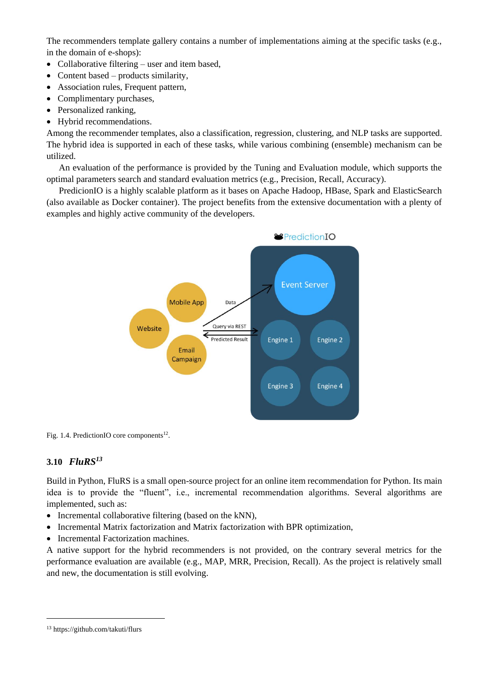The recommenders template gallery contains a number of implementations aiming at the specific tasks (e.g., in the domain of e-shops):

- Collaborative filtering user and item based,
- Content based products similarity,
- Association rules, Frequent pattern,
- Complimentary purchases,
- Personalized ranking,
- Hybrid recommendations.

Among the recommender templates, also a classification, regression, clustering, and NLP tasks are supported. The hybrid idea is supported in each of these tasks, while various combining (ensemble) mechanism can be utilized.

An evaluation of the performance is provided by the Tuning and Evaluation module, which supports the optimal parameters search and standard evaluation metrics (e.g., Precision, Recall, Accuracy).

PredicionIO is a highly scalable platform as it bases on Apache Hadoop, HBase, Spark and ElasticSearch (also available as Docker container). The project benefits from the extensive documentation with a plenty of examples and highly active community of the developers.



Fig. 1.4. PredictionIO core components<sup>[12](#page-10-0)</sup>.

# **3.10** *FluRS<sup>13</sup>*

Build in Python, FluRS is a small open-source project for an online item recommendation for Python. Its main idea is to provide the "fluent", i.e., incremental recommendation algorithms. Several algorithms are implemented, such as:

- Incremental collaborative filtering (based on the kNN),
- Incremental Matrix factorization and Matrix factorization with BPR optimization,
- Incremental Factorization machines.

A native support for the hybrid recommenders is not provided, on the contrary several metrics for the performance evaluation are available (e.g., MAP, MRR, Precision, Recall). As the project is relatively small and new, the documentation is still evolving.

<sup>13</sup> https://github.com/takuti/flurs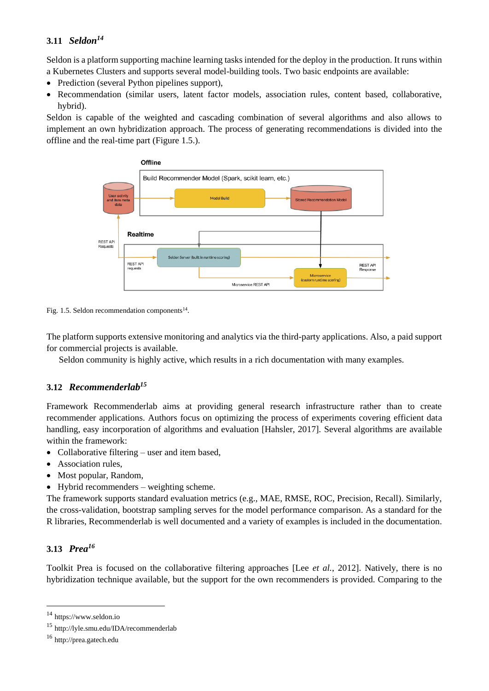# <span id="page-12-0"></span>**3.11** *Seldon<sup>14</sup>*

Seldon is a platform supporting machine learning tasks intended for the deploy in the production. It runs within a Kubernetes Clusters and supports several model-building tools. Two basic endpoints are available:

- Prediction (several Python pipelines support),
- Recommendation (similar users, latent factor models, association rules, content based, collaborative, hybrid).

Seldon is capable of the weighted and cascading combination of several algorithms and also allows to implement an own hybridization approach. The process of generating recommendations is divided into the offline and the real-time part (Figure 1.5.).



Fig. 1.5. Seldon recommendation components<sup>[14](#page-12-0)</sup>.

The platform supports extensive monitoring and analytics via the third-party applications. Also, a paid support for commercial projects is available.

Seldon community is highly active, which results in a rich documentation with many examples.

# **3.12** *Recommenderlab<sup>15</sup>*

Framework Recommenderlab aims at providing general research infrastructure rather than to create recommender applications. Authors focus on optimizing the process of experiments covering efficient data handling, easy incorporation of algorithms and evaluation [Hahsler, 2017]. Several algorithms are available within the framework:

- Collaborative filtering user and item based,
- Association rules.
- Most popular, Random,
- Hybrid recommenders weighting scheme.

The framework supports standard evaluation metrics (e.g., MAE, RMSE, ROC, Precision, Recall). Similarly, the cross-validation, bootstrap sampling serves for the model performance comparison. As a standard for the R libraries, Recommenderlab is well documented and a variety of examples is included in the documentation.

# **3.13** *Prea<sup>16</sup>*

 $\overline{a}$ 

Toolkit Prea is focused on the collaborative filtering approaches [Lee *et al.*, 2012]. Natively, there is no hybridization technique available, but the support for the own recommenders is provided. Comparing to the

<sup>14</sup> https://www.seldon.io

<sup>15</sup> http://lyle.smu.edu/IDA/recommenderlab

<sup>16</sup> http://prea.gatech.edu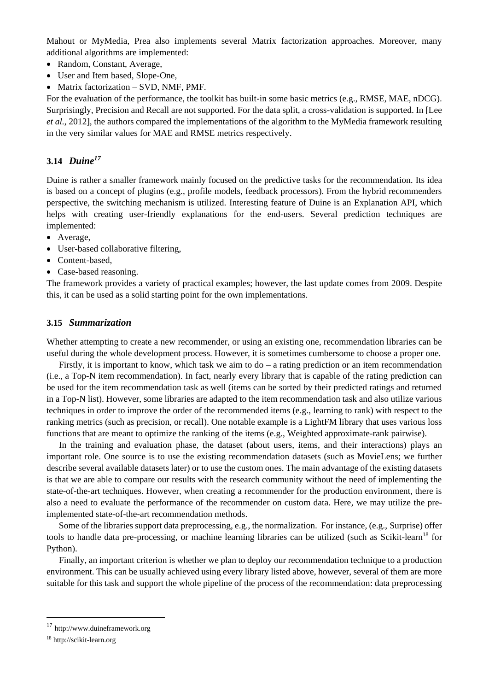Mahout or MyMedia, Prea also implements several Matrix factorization approaches. Moreover, many additional algorithms are implemented:

- Random, Constant, Average,
- User and Item based, Slope-One,
- Matrix factorization SVD, NMF, PMF.

For the evaluation of the performance, the toolkit has built-in some basic metrics (e.g., RMSE, MAE, nDCG). Surprisingly, Precision and Recall are not supported. For the data split, a cross-validation is supported. In [Lee *et al.*, 2012], the authors compared the implementations of the algorithm to the MyMedia framework resulting in the very similar values for MAE and RMSE metrics respectively.

### **3.14** *Duine<sup>17</sup>*

Duine is rather a smaller framework mainly focused on the predictive tasks for the recommendation. Its idea is based on a concept of plugins (e.g., profile models, feedback processors). From the hybrid recommenders perspective, the switching mechanism is utilized. Interesting feature of Duine is an Explanation API, which helps with creating user-friendly explanations for the end-users. Several prediction techniques are implemented:

- Average,
- User-based collaborative filtering,
- Content-based.
- Case-based reasoning.

The framework provides a variety of practical examples; however, the last update comes from 2009. Despite this, it can be used as a solid starting point for the own implementations.

#### **3.15** *Summarization*

Whether attempting to create a new recommender, or using an existing one, recommendation libraries can be useful during the whole development process. However, it is sometimes cumbersome to choose a proper one.

Firstly, it is important to know, which task we aim to  $do - a$  rating prediction or an item recommendation (i.e., a Top-N item recommendation). In fact, nearly every library that is capable of the rating prediction can be used for the item recommendation task as well (items can be sorted by their predicted ratings and returned in a Top-N list). However, some libraries are adapted to the item recommendation task and also utilize various techniques in order to improve the order of the recommended items (e.g., learning to rank) with respect to the ranking metrics (such as precision, or recall). One notable example is a LightFM library that uses various loss functions that are meant to optimize the ranking of the items (e.g., Weighted approximate-rank pairwise).

In the training and evaluation phase, the dataset (about users, items, and their interactions) plays an important role. One source is to use the existing recommendation datasets (such as MovieLens; we further describe several available datasets later) or to use the custom ones. The main advantage of the existing datasets is that we are able to compare our results with the research community without the need of implementing the state-of-the-art techniques. However, when creating a recommender for the production environment, there is also a need to evaluate the performance of the recommender on custom data. Here, we may utilize the preimplemented state-of-the-art recommendation methods.

Some of the libraries support data preprocessing, e.g., the normalization. For instance, (e.g., Surprise) offer tools to handle data pre-processing, or machine learning libraries can be utilized (such as Scikit-learn<sup>18</sup> for Python).

Finally, an important criterion is whether we plan to deploy our recommendation technique to a production environment. This can be usually achieved using every library listed above, however, several of them are more suitable for this task and support the whole pipeline of the process of the recommendation: data preprocessing

<sup>17</sup> http://www.duineframework.org

<sup>18</sup> http://scikit-learn.org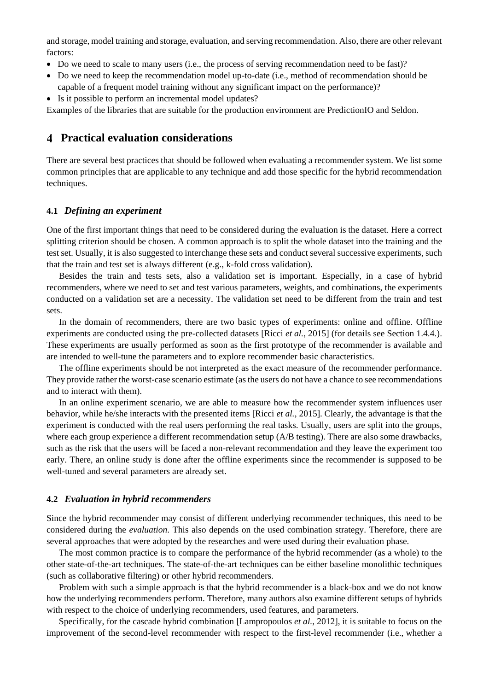and storage, model training and storage, evaluation, and serving recommendation. Also, there are other relevant factors:

- Do we need to scale to many users (i.e., the process of serving recommendation need to be fast)?
- Do we need to keep the recommendation model up-to-date (i.e., method of recommendation should be capable of a frequent model training without any significant impact on the performance)?
- Is it possible to perform an incremental model updates?

Examples of the libraries that are suitable for the production environment are PredictionIO and Seldon.

### **Practical evaluation considerations**

There are several best practices that should be followed when evaluating a recommender system. We list some common principles that are applicable to any technique and add those specific for the hybrid recommendation techniques.

#### **4.1** *Defining an experiment*

One of the first important things that need to be considered during the evaluation is the dataset. Here a correct splitting criterion should be chosen. A common approach is to split the whole dataset into the training and the test set. Usually, it is also suggested to interchange these sets and conduct several successive experiments, such that the train and test set is always different (e.g., k-fold cross validation).

Besides the train and tests sets, also a validation set is important. Especially, in a case of hybrid recommenders, where we need to set and test various parameters, weights, and combinations, the experiments conducted on a validation set are a necessity. The validation set need to be different from the train and test sets.

In the domain of recommenders, there are two basic types of experiments: online and offline. Offline experiments are conducted using the pre-collected datasets [Ricci *et al.*, 2015] (for details see Section 1.4.4.). These experiments are usually performed as soon as the first prototype of the recommender is available and are intended to well-tune the parameters and to explore recommender basic characteristics.

The offline experiments should be not interpreted as the exact measure of the recommender performance. They provide rather the worst-case scenario estimate (as the users do not have a chance to see recommendations and to interact with them).

In an online experiment scenario, we are able to measure how the recommender system influences user behavior, while he/she interacts with the presented items [Ricci *et al.*, 2015]. Clearly, the advantage is that the experiment is conducted with the real users performing the real tasks. Usually, users are split into the groups, where each group experience a different recommendation setup (A/B testing). There are also some drawbacks, such as the risk that the users will be faced a non-relevant recommendation and they leave the experiment too early. There, an online study is done after the offline experiments since the recommender is supposed to be well-tuned and several parameters are already set.

#### **4.2** *Evaluation in hybrid recommenders*

Since the hybrid recommender may consist of different underlying recommender techniques, this need to be considered during the *evaluation*. This also depends on the used combination strategy. Therefore, there are several approaches that were adopted by the researches and were used during their evaluation phase.

The most common practice is to compare the performance of the hybrid recommender (as a whole) to the other state-of-the-art techniques. The state-of-the-art techniques can be either baseline monolithic techniques (such as collaborative filtering) or other hybrid recommenders.

Problem with such a simple approach is that the hybrid recommender is a black-box and we do not know how the underlying recommenders perform. Therefore, many authors also examine different setups of hybrids with respect to the choice of underlying recommenders, used features, and parameters.

Specifically, for the cascade hybrid combination [Lampropoulos *et al.*, 2012], it is suitable to focus on the improvement of the second-level recommender with respect to the first-level recommender (i.e., whether a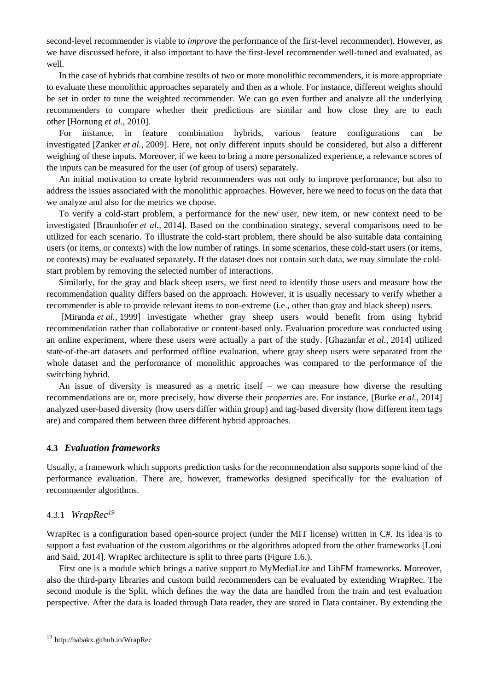second-level recommender is viable to *improve* the performance of the first-level recommender). However, as we have discussed before, it also important to have the first-level recommender well-tuned and evaluated, as well.

In the case of hybrids that combine results of two or more monolithic recommenders, it is more appropriate to evaluate these monolithic approaches separately and then as a whole. For instance, different weights should be set in order to tune the weighted recommender. We can go even further and analyze all the underlying recommenders to compare whether their predictions are similar and how close they are to each other [Hornung *et al.*, 2010].

For instance, in feature combination hybrids, various feature configurations can be investigated [Zanker *et al.*, 2009]. Here, not only different inputs should be considered, but also a different weighing of these inputs. Moreover, if we keen to bring a more personalized experience, a relevance scores of the inputs can be measured for the user (of group of users) separately.

An initial motivation to create hybrid recommenders was not only to improve performance, but also to address the issues associated with the monolithic approaches. However, here we need to focus on the data that we analyze and also for the metrics we choose.

To verify a cold-start problem, a performance for the new user, new item, or new context need to be investigated [Braunhofer *et al.*, 2014]. Based on the combination strategy, several comparisons need to be utilized for each scenario. To illustrate the cold-start problem, there should be also suitable data containing users (or items, or contexts) with the low number of ratings. In some scenarios, these cold-start users (or items, or contexts) may be evaluated separately. If the dataset does not contain such data, we may simulate the coldstart problem by removing the selected number of interactions.

Similarly, for the gray and black sheep users, we first need to identify those users and measure how the recommendation quality differs based on the approach. However, it is usually necessary to verify whether a recommender is able to provide relevant items to non-extreme (i.e., other than gray and black sheep) users.

[Miranda *et al.*, 1999] investigate whether gray sheep users would benefit from using hybrid recommendation rather than collaborative or content-based only. Evaluation procedure was conducted using an online experiment, where these users were actually a part of the study. [Ghazanfar *et al.*, 2014] utilized state-of-the-art datasets and performed offline evaluation, where gray sheep users were separated from the whole dataset and the performance of monolithic approaches was compared to the performance of the switching hybrid.

An issue of diversity is measured as a metric itself – we can measure how diverse the resulting recommendations are or, more precisely, how diverse their *properties* are. For instance, [Burke *et al.*, 2014] analyzed user-based diversity (how users differ within group) and tag-based diversity (how different item tags are) and compared them between three different hybrid approaches.

#### **4.3** *Evaluation frameworks*

Usually, a framework which supports prediction tasks for the recommendation also supports some kind of the performance evaluation. There are, however, frameworks designed specifically for the evaluation of recommender algorithms.

#### <span id="page-15-0"></span>4.3.1 *WrapRec<sup>19</sup>*

WrapRec is a configuration based open-source project (under the MIT license) written in C#. Its idea is to support a fast evaluation of the custom algorithms or the algorithms adopted from the other frameworks [Loni and Said, 2014]. WrapRec architecture is split to three parts (Figure 1.6.).

First one is a module which brings a native support to MyMediaLite and LibFM frameworks. Moreover, also the third-party libraries and custom build recommenders can be evaluated by extending WrapRec. The second module is the Split, which defines the way the data are handled from the train and test evaluation perspective. After the data is loaded through Data reader, they are stored in Data container. By extending the

<sup>19</sup> http://babakx.github.io/WrapRec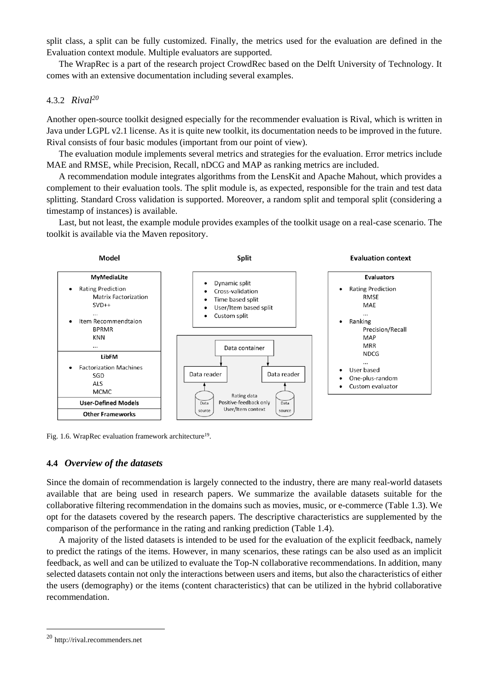split class, a split can be fully customized. Finally, the metrics used for the evaluation are defined in the Evaluation context module. Multiple evaluators are supported.

The WrapRec is a part of the research project CrowdRec based on the Delft University of Technology. It comes with an extensive documentation including several examples.

#### 4.3.2 *Rival<sup>20</sup>*

Another open-source toolkit designed especially for the recommender evaluation is Rival, which is written in Java under LGPL v2.1 license. As it is quite new toolkit, its documentation needs to be improved in the future. Rival consists of four basic modules (important from our point of view).

The evaluation module implements several metrics and strategies for the evaluation. Error metrics include MAE and RMSE, while Precision, Recall, nDCG and MAP as ranking metrics are included.

A recommendation module integrates algorithms from the LensKit and Apache Mahout, which provides a complement to their evaluation tools. The split module is, as expected, responsible for the train and test data splitting. Standard Cross validation is supported. Moreover, a random split and temporal split (considering a timestamp of instances) is available.

Last, but not least, the example module provides examples of the toolkit usage on a real-case scenario. The toolkit is available via the Maven repository.



Fig. 1.6. WrapRec evaluation framework architecture<sup>[19](#page-15-0)</sup>.

#### **4.4** *Overview of the datasets*

Since the domain of recommendation is largely connected to the industry, there are many real-world datasets available that are being used in research papers. We summarize the available datasets suitable for the collaborative filtering recommendation in the domains such as movies, music, or e-commerce (Table 1.3). We opt for the datasets covered by the research papers. The descriptive characteristics are supplemented by the comparison of the performance in the rating and ranking prediction (Table 1.4).

A majority of the listed datasets is intended to be used for the evaluation of the explicit feedback, namely to predict the ratings of the items. However, in many scenarios, these ratings can be also used as an implicit feedback, as well and can be utilized to evaluate the Top-N collaborative recommendations. In addition, many selected datasets contain not only the interactions between users and items, but also the characteristics of either the users (demography) or the items (content characteristics) that can be utilized in the hybrid collaborative recommendation.

<sup>20</sup> http://rival.recommenders.net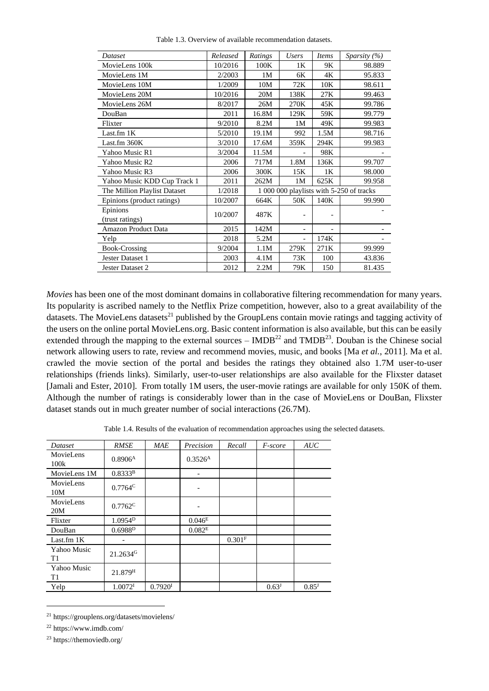| Dataset                      | Released | Ratings                                  | <b>Users</b>             | <b>Items</b> | Sparsity $(\% )$ |
|------------------------------|----------|------------------------------------------|--------------------------|--------------|------------------|
| MovieLens 100k               | 10/2016  | 100K                                     | 1K                       | 9Κ           | 98.889           |
| MovieLens 1M                 | 2/2003   | 1M                                       | 6K                       | 4K           | 95.833           |
| MovieLens 10M                | 1/2009   | 10M                                      | 72K                      | 10K          | 98.611           |
| MovieLens 20M                | 10/2016  | 20M                                      | 138K                     | 27K          | 99.463           |
| MovieLens 26M                | 8/2017   | 26M                                      | 270K                     | 45K          | 99.786           |
| DouBan                       | 2011     | 16.8M                                    | 129K                     | 59K          | 99.779           |
| Flixter                      | 9/2010   | 8.2M                                     | 1 <sub>M</sub>           | 49K          | 99.983           |
| Last.fm 1K                   | 5/2010   | 19.1M                                    | 992                      | 1.5M         | 98.716           |
| Last.fm 360K                 | 3/2010   | 17.6M                                    | 359K                     | 294K         | 99.983           |
| Yahoo Music R1               | 3/2004   | 11.5M                                    | $\overline{a}$           | 98K          |                  |
| Yahoo Music R2               | 2006     | 717M                                     | 1.8M                     | 136K         | 99.707           |
| Yahoo Music R3               | 2006     | 300K                                     | 15K                      | 1K           | 98.000           |
| Yahoo Music KDD Cup Track 1  | 2011     | 262M                                     | 1M                       | 625K         | 99.958           |
| The Million Playlist Dataset | 1/2018   | 1 000 000 playlists with 5-250 of tracks |                          |              |                  |
| Epinions (product ratings)   | 10/2007  | 664K                                     | 50K                      | 140K         | 99.990           |
| Epinions                     | 10/2007  | 487K                                     |                          |              |                  |
| (trust ratings)              |          |                                          | $\overline{\phantom{0}}$ |              |                  |
| Amazon Product Data          | 2015     | 142M                                     | $\overline{\phantom{0}}$ |              |                  |
| Yelp                         | 2018     | 5.2M                                     | $\overline{\phantom{0}}$ | 174K         |                  |
| Book-Crossing                | 9/2004   | 1.1M                                     | 279K                     | 271K         | 99.999           |
| Jester Dataset 1             | 2003     | 4.1M                                     | 73K                      | 100          | 43.836           |
| Jester Dataset 2             | 2012     | 2.2M                                     | 79K                      | 150          | 81.435           |

Table 1.3. Overview of available recommendation datasets.

*Movies* has been one of the most dominant domains in collaborative filtering recommendation for many years. Its popularity is ascribed namely to the Netflix Prize competition, however, also to a great availability of the datasets. The MovieLens datasets<sup>21</sup> published by the GroupLens contain movie ratings and tagging activity of the users on the online portal MovieLens.org. Basic content information is also available, but this can be easily extended through the mapping to the external sources –  $IMDB^{22}$  and  $TMDB^{23}$ . Douban is the Chinese social network allowing users to rate, review and recommend movies, music, and books [Ma *et al.*, 2011]. Ma et al. crawled the movie section of the portal and besides the ratings they obtained also 1.7M user-to-user relationships (friends links). Similarly, user-to-user relationships are also available for the Flixster dataset [Jamali and Ester, 2010]. From totally 1M users, the user-movie ratings are available for only 150K of them. Although the number of ratings is considerably lower than in the case of MovieLens or DouBan, Flixster dataset stands out in much greater number of social interactions (26.7M).

| Dataset                       | <b>RMSE</b>          | <b>MAE</b>            | Precision           | Recall               | F-score           | AUC                 |
|-------------------------------|----------------------|-----------------------|---------------------|----------------------|-------------------|---------------------|
| MovieLens<br>100k             | $0.8906^{A}$         |                       | 0.3526 <sup>A</sup> |                      |                   |                     |
| MovieLens 1M                  | $0.8333^{B}$         |                       |                     |                      |                   |                     |
| MovieLens<br>10M              | $0.7764^{\circ}$     |                       |                     |                      |                   |                     |
| MovieLens<br>20M              | $0.7762^C$           |                       |                     |                      |                   |                     |
| Flixter                       | 1.0954 <sup>D</sup>  |                       | 0.046 <sup>E</sup>  |                      |                   |                     |
| DouBan                        | 0.6988 <sup>D</sup>  |                       | 0.082 <sup>E</sup>  |                      |                   |                     |
| Last.fm $1K$                  |                      |                       |                     | $0.301$ <sup>F</sup> |                   |                     |
| Yahoo Music<br>T1             | 21.2634 <sup>G</sup> |                       |                     |                      |                   |                     |
| Yahoo Music<br>T <sub>1</sub> | 21.879 <sup>H</sup>  |                       |                     |                      |                   |                     |
| Yelp                          | 1.0072 <sup>I</sup>  | $0.7920$ <sup>I</sup> |                     |                      | 0.63 <sup>J</sup> | $0.85^{\mathrm{J}}$ |

Table 1.4. Results of the evaluation of recommendation approaches using the selected datasets.

 $\overline{a}$ 

<sup>23</sup> https://themoviedb.org/

<sup>21</sup> https://grouplens.org/datasets/movielens/

<sup>22</sup> https://www.imdb.com/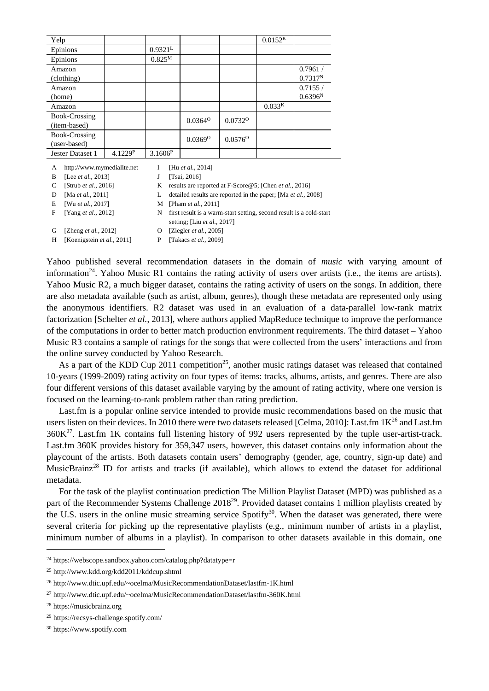| Yelp                          |         |             |                       |                     | $0.0152^{K}$       |                                |
|-------------------------------|---------|-------------|-----------------------|---------------------|--------------------|--------------------------------|
| Epinions                      |         | $0.9321^L$  |                       |                     |                    |                                |
| Epinions                      |         | $0.825^{M}$ |                       |                     |                    |                                |
| Amazon<br>(clothing)          |         |             |                       |                     |                    | 0.7961/<br>0.7317 <sup>N</sup> |
| Amazon<br>(home)              |         |             |                       |                     |                    | 0.7155/<br>0.6396 <sup>N</sup> |
| Amazon                        |         |             |                       |                     | 0.033 <sup>K</sup> |                                |
| Book-Crossing<br>(item-based) |         |             | $0.0364^{\circ}$      | 0.0732 <sup>o</sup> |                    |                                |
| Book-Crossing<br>(user-based) |         |             | $0.0369$ <sup>O</sup> | $0.0576^{\circ}$    |                    |                                |
| Jester Dataset 1              | 4.1229P | $3.1606^P$  |                       |                     |                    |                                |

A http://www.mymedialite.net I [Hu *et al.*, 2014]

B [Lee *et al.*, 2013] J [Tsai, 2016]

C [Strub *et al.*, 2016] K results are reported at F-Score @5; [Chen *et al.*, 2016]

D [Ma *et al.*, 2011] L detailed results are reported in the paper; [Ma *et al.*, 2008]

E [Wu *et al.*, 2017] M [Pham *et al.*, 2011]

F [Yang *et al.*, 2012] N first result is a warm-start setting, second result is a cold-start setting; [Liu *et al.*, 2017]

G [Zheng *et al.*, 2012] O [Ziegler *et al.*, 2005]

H [Koenigstein *et al.*, 2011] P [Takacs *et al.*, 2009]

Yahoo published several recommendation datasets in the domain of *music* with varying amount of information<sup>24</sup>. Yahoo Music R1 contains the rating activity of users over artists (i.e., the items are artists). Yahoo Music R2, a much bigger dataset, contains the rating activity of users on the songs. In addition, there are also metadata available (such as artist, album, genres), though these metadata are represented only using the anonymous identifiers. R2 dataset was used in an evaluation of a data-parallel low-rank matrix factorization [Schelter *et al.*, 2013], where authors applied MapReduce technique to improve the performance of the computations in order to better match production environment requirements. The third dataset – Yahoo Music R3 contains a sample of ratings for the songs that were collected from the users' interactions and from the online survey conducted by Yahoo Research.

As a part of the KDD Cup 2011 competition<sup>25</sup>, another music ratings dataset was released that contained 10-years (1999-2009) rating activity on four types of items: tracks, albums, artists, and genres. There are also four different versions of this dataset available varying by the amount of rating activity, where one version is focused on the learning-to-rank problem rather than rating prediction.

Last.fm is a popular online service intended to provide music recommendations based on the music that users listen on their devices. In 2010 there were two datasets released [Celma, 2010]: Last.fm  $1K^{26}$  and Last.fm  $360K<sup>27</sup>$ . Last.fm 1K contains full listening history of 992 users represented by the tuple user-artist-track. Last.fm 360K provides history for 359,347 users, however, this dataset contains only information about the playcount of the artists. Both datasets contain users' demography (gender, age, country, sign-up date) and MusicBrainz<sup>28</sup> ID for artists and tracks (if available), which allows to extend the dataset for additional metadata.

For the task of the playlist continuation prediction The Million Playlist Dataset (MPD) was published as a part of the Recommender Systems Challenge 2018<sup>29</sup>. Provided dataset contains 1 million playlists created by the U.S. users in the online music streaming service Spotify<sup>30</sup>. When the dataset was generated, there were several criteria for picking up the representative playlists (e.g., minimum number of artists in a playlist, minimum number of albums in a playlist). In comparison to other datasets available in this domain, one

<sup>24</sup> https://webscope.sandbox.yahoo.com/catalog.php?datatype=r

<sup>25</sup> http://www.kdd.org/kdd2011/kddcup.shtml

<sup>26</sup> http://www.dtic.upf.edu/~ocelma/MusicRecommendationDataset/lastfm-1K.html

<sup>27</sup> http://www.dtic.upf.edu/~ocelma/MusicRecommendationDataset/lastfm-360K.html

<sup>28</sup> https://musicbrainz.org

<sup>29</sup> https://recsys-challenge.spotify.com/

<sup>30</sup> https://www.spotify.com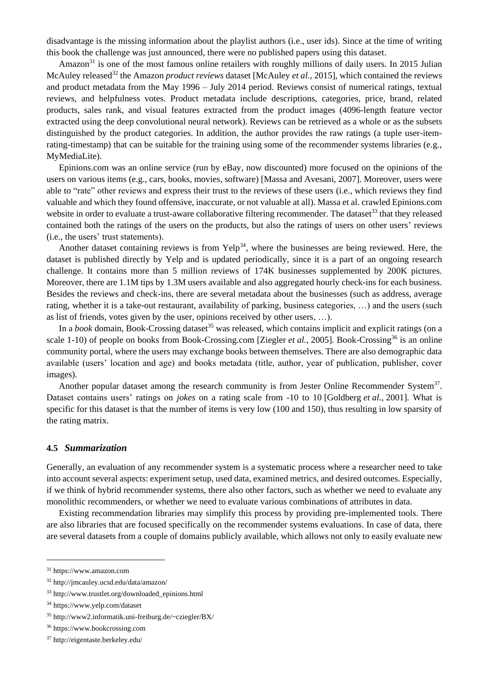disadvantage is the missing information about the playlist authors (i.e., user ids). Since at the time of writing this book the challenge was just announced, there were no published papers using this dataset.

Amazon<sup>31</sup> is one of the most famous online retailers with roughly millions of daily users. In 2015 Julian McAuley released<sup>32</sup> the Amazon *product reviews* dataset [McAuley *et al.*, 2015], which contained the reviews and product metadata from the May 1996 – July 2014 period. Reviews consist of numerical ratings, textual reviews, and helpfulness votes. Product metadata include descriptions, categories, price, brand, related products, sales rank, and visual features extracted from the product images (4096-length feature vector extracted using the deep convolutional neural network). Reviews can be retrieved as a whole or as the subsets distinguished by the product categories. In addition, the author provides the raw ratings (a tuple user-itemrating-timestamp) that can be suitable for the training using some of the recommender systems libraries (e.g., MyMediaLite).

Epinions.com was an online service (run by eBay, now discounted) more focused on the opinions of the users on various items (e.g., cars, books, movies, software) [Massa and Avesani, 2007]. Moreover, users were able to "rate" other reviews and express their trust to the reviews of these users (i.e., which reviews they find valuable and which they found offensive, inaccurate, or not valuable at all). Massa et al. crawled Epinions.com website in order to evaluate a trust-aware collaborative filtering recommender. The dataset<sup>33</sup> that they released contained both the ratings of the users on the products, but also the ratings of users on other users' reviews (i.e., the users' trust statements).

Another dataset containing reviews is from  $Yeh^{34}$ , where the businesses are being reviewed. Here, the dataset is published directly by Yelp and is updated periodically, since it is a part of an ongoing research challenge. It contains more than 5 million reviews of 174K businesses supplemented by 200K pictures. Moreover, there are 1.1M tips by 1.3M users available and also aggregated hourly check-ins for each business. Besides the reviews and check-ins, there are several metadata about the businesses (such as address, average rating, whether it is a take-out restaurant, availability of parking, business categories, …) and the users (such as list of friends, votes given by the user, opinions received by other users, …).

In a *book* domain, Book-Crossing dataset<sup>35</sup> was released, which contains implicit and explicit ratings (on a scale 1-10) of people on books from Book-Crossing.com [Ziegler *et al.*, 2005]. Book-Crossing<sup>36</sup> is an online community portal, where the users may exchange books between themselves. There are also demographic data available (users' location and age) and books metadata (title, author, year of publication, publisher, cover images).

Another popular dataset among the research community is from Jester Online Recommender System<sup>37</sup>. Dataset contains users' ratings on *jokes* on a rating scale from -10 to 10 [Goldberg *et al.*, 2001]. What is specific for this dataset is that the number of items is very low (100 and 150), thus resulting in low sparsity of the rating matrix.

#### **4.5** *Summarization*

Generally, an evaluation of any recommender system is a systematic process where a researcher need to take into account several aspects: experiment setup, used data, examined metrics, and desired outcomes. Especially, if we think of hybrid recommender systems, there also other factors, such as whether we need to evaluate any monolithic recommenders, or whether we need to evaluate various combinations of attributes in data.

Existing recommendation libraries may simplify this process by providing pre-implemented tools. There are also libraries that are focused specifically on the recommender systems evaluations. In case of data, there are several datasets from a couple of domains publicly available, which allows not only to easily evaluate new

<sup>31</sup> https://www.amazon.com

<sup>32</sup> http://jmcauley.ucsd.edu/data/amazon/

<sup>33</sup> http://www.trustlet.org/downloaded\_epinions.html

<sup>34</sup> https://www.yelp.com/dataset

<sup>35</sup> http://www2.informatik.uni-freiburg.de/~cziegler/BX/

<sup>36</sup> https://www.bookcrossing.com

<sup>37</sup> http://eigentaste.berkeley.edu/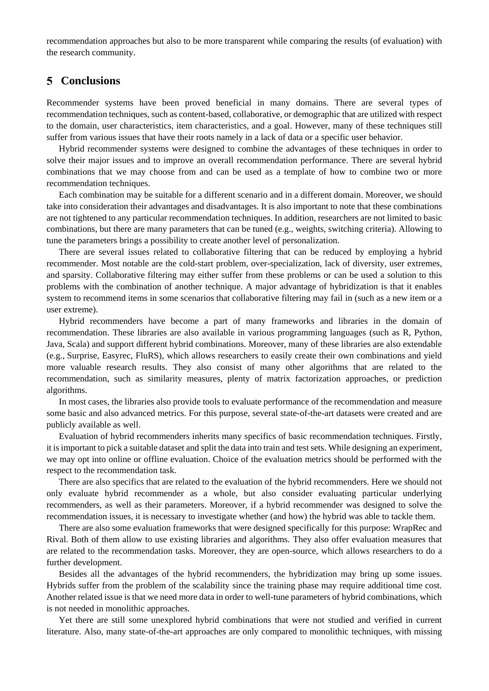recommendation approaches but also to be more transparent while comparing the results (of evaluation) with the research community.

### **Conclusions**

Recommender systems have been proved beneficial in many domains. There are several types of recommendation techniques, such as content-based, collaborative, or demographic that are utilized with respect to the domain, user characteristics, item characteristics, and a goal. However, many of these techniques still suffer from various issues that have their roots namely in a lack of data or a specific user behavior.

Hybrid recommender systems were designed to combine the advantages of these techniques in order to solve their major issues and to improve an overall recommendation performance. There are several hybrid combinations that we may choose from and can be used as a template of how to combine two or more recommendation techniques.

Each combination may be suitable for a different scenario and in a different domain. Moreover, we should take into consideration their advantages and disadvantages. It is also important to note that these combinations are not tightened to any particular recommendation techniques. In addition, researchers are not limited to basic combinations, but there are many parameters that can be tuned (e.g., weights, switching criteria). Allowing to tune the parameters brings a possibility to create another level of personalization.

There are several issues related to collaborative filtering that can be reduced by employing a hybrid recommender. Most notable are the cold-start problem, over-specialization, lack of diversity, user extremes, and sparsity. Collaborative filtering may either suffer from these problems or can be used a solution to this problems with the combination of another technique. A major advantage of hybridization is that it enables system to recommend items in some scenarios that collaborative filtering may fail in (such as a new item or a user extreme).

Hybrid recommenders have become a part of many frameworks and libraries in the domain of recommendation. These libraries are also available in various programming languages (such as R, Python, Java, Scala) and support different hybrid combinations. Moreover, many of these libraries are also extendable (e.g., Surprise, Easyrec, FluRS), which allows researchers to easily create their own combinations and yield more valuable research results. They also consist of many other algorithms that are related to the recommendation, such as similarity measures, plenty of matrix factorization approaches, or prediction algorithms.

In most cases, the libraries also provide tools to evaluate performance of the recommendation and measure some basic and also advanced metrics. For this purpose, several state-of-the-art datasets were created and are publicly available as well.

Evaluation of hybrid recommenders inherits many specifics of basic recommendation techniques. Firstly, it is important to pick a suitable dataset and split the data into train and test sets. While designing an experiment, we may opt into online or offline evaluation. Choice of the evaluation metrics should be performed with the respect to the recommendation task.

There are also specifics that are related to the evaluation of the hybrid recommenders. Here we should not only evaluate hybrid recommender as a whole, but also consider evaluating particular underlying recommenders, as well as their parameters. Moreover, if a hybrid recommender was designed to solve the recommendation issues, it is necessary to investigate whether (and how) the hybrid was able to tackle them.

There are also some evaluation frameworks that were designed specifically for this purpose: WrapRec and Rival. Both of them allow to use existing libraries and algorithms. They also offer evaluation measures that are related to the recommendation tasks. Moreover, they are open-source, which allows researchers to do a further development.

Besides all the advantages of the hybrid recommenders, the hybridization may bring up some issues. Hybrids suffer from the problem of the scalability since the training phase may require additional time cost. Another related issue is that we need more data in order to well-tune parameters of hybrid combinations, which is not needed in monolithic approaches.

Yet there are still some unexplored hybrid combinations that were not studied and verified in current literature. Also, many state-of-the-art approaches are only compared to monolithic techniques, with missing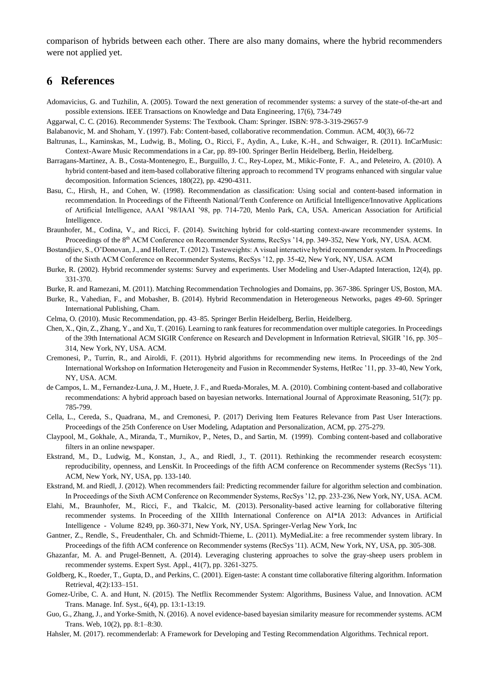comparison of hybrids between each other. There are also many domains, where the hybrid recommenders were not applied yet.

# **References**

- Adomavicius, G. and Tuzhilin, A. (2005). Toward the next generation of recommender systems: a survey of the state-of-the-art and possible extensions. IEEE Transactions on Knowledge and Data Engineering, 17(6), 734-749
- Aggarwal, C. C. (2016). Recommender Systems: The Textbook. Cham: Springer. ISBN: 978-3-319-29657-9
- Balabanovic, M. and Shoham, Y. (1997). Fab: Content-based, collaborative recommendation. Commun. ACM, 40(3), 66-72
- Baltrunas, L., Kaminskas, M., Ludwig, B., Moling, O., Ricci, F., Aydin, A., Luke, K.-H., and Schwaiger, R. (2011). InCarMusic: Context-Aware Music Recommendations in a Car, pp. 89-100. Springer Berlin Heidelberg, Berlin, Heidelberg.
- Barragans-Martinez, A. B., Costa-Montenegro, E., Burguillo, J. C., Rey-Lopez, M., Mikic-Fonte, F. A., and Peleteiro, A. (2010). A hybrid content-based and item-based collaborative filtering approach to recommend TV programs enhanced with singular value decomposition. Information Sciences, 180(22), pp. 4290-4311.
- Basu, C., Hirsh, H., and Cohen, W. (1998). Recommendation as classification: Using social and content-based information in recommendation. In Proceedings of the Fifteenth National/Tenth Conference on Artificial Intelligence/Innovative Applications of Artificial Intelligence, AAAI '98/IAAI '98, pp. 714-720, Menlo Park, CA, USA. American Association for Artificial Intelligence.
- Braunhofer, M., Codina, V., and Ricci, F. (2014). Switching hybrid for cold-starting context-aware recommender systems. In Proceedings of the 8th ACM Conference on Recommender Systems, RecSys '14, pp. 349-352, New York, NY, USA. ACM.
- Bostandjiev, S., O'Donovan, J., and Hollerer, T. (2012). Tasteweights: A visual interactive hybrid recommender system. In Proceedings of the Sixth ACM Conference on Recommender Systems, RecSys '12, pp. 35-42, New York, NY, USA. ACM
- Burke, R. (2002). Hybrid recommender systems: Survey and experiments. User Modeling and User-Adapted Interaction, 12(4), pp. 331-370.
- Burke, R. and Ramezani, M. (2011). Matching Recommendation Technologies and Domains, pp. 367-386. Springer US, Boston, MA.
- Burke, R., Vahedian, F., and Mobasher, B. (2014). Hybrid Recommendation in Heterogeneous Networks, pages 49-60. Springer International Publishing, Cham.
- Celma, O. (2010). Music Recommendation, pp. 43–85. Springer Berlin Heidelberg, Berlin, Heidelberg.
- Chen, X., Qin, Z., Zhang, Y., and Xu, T. (2016). Learning to rank features for recommendation over multiple categories. In Proceedings of the 39th International ACM SIGIR Conference on Research and Development in Information Retrieval, SIGIR '16, pp. 305– 314, New York, NY, USA. ACM.
- Cremonesi, P., Turrin, R., and Airoldi, F. (2011). Hybrid algorithms for recommending new items. In Proceedings of the 2nd International Workshop on Information Heterogeneity and Fusion in Recommender Systems, HetRec '11, pp. 33-40, New York, NY, USA. ACM.
- de Campos, L. M., Fernandez-Luna, J. M., Huete, J. F., and Rueda-Morales, M. A. (2010). Combining content-based and collaborative recommendations: A hybrid approach based on bayesian networks. International Journal of Approximate Reasoning, 51(7): pp. 785-799.
- Cella, L., Cereda, S., Quadrana, M., and Cremonesi, P. (2017) Deriving Item Features Relevance from Past User Interactions. Proceedings of the 25th Conference on User Modeling, Adaptation and Personalization, ACM, pp. 275-279.
- Claypool, M., Gokhale, A., Miranda, T., Murnikov, P., Netes, D., and Sartin, M. (1999). Combing content-based and collaborative filters in an online newspaper.
- Ekstrand, M., D., Ludwig, M., Konstan, J., A., and Riedl, J., T. (2011). Rethinking the recommender research ecosystem: reproducibility, openness, and LensKit. In Proceedings of the fifth ACM conference on Recommender systems (RecSys '11). ACM, New York, NY, USA, pp. 133-140.
- Ekstrand, M. and Riedl, J. (2012). When recommenders fail: Predicting recommender failure for algorithm selection and combination. In Proceedings of the Sixth ACM Conference on Recommender Systems, RecSys '12, pp. 233-236, New York, NY, USA. ACM.
- Elahi, M., Braunhofer, M., Ricci, F., and Tkalcic, M. (2013). Personality-based active learning for collaborative filtering recommender systems. In Proceeding of the XIIIth International Conference on AI\*IA 2013: Advances in Artificial Intelligence - Volume 8249, pp. 360-371, New York, NY, USA. Springer-Verlag New York, Inc
- Gantner, Z., Rendle, S., Freudenthaler, Ch. and Schmidt-Thieme, L. (2011). MyMediaLite: a free recommender system library. In Proceedings of the fifth ACM conference on Recommender systems (RecSys '11). ACM, New York, NY, USA, pp. 305-308.
- Ghazanfar, M. A. and Prugel-Bennett, A. (2014). Leveraging clustering approaches to solve the gray-sheep users problem in recommender systems. Expert Syst. Appl., 41(7), pp. 3261-3275.
- Goldberg, K., Roeder, T., Gupta, D., and Perkins, C. (2001). Eigen-taste: A constant time collaborative filtering algorithm. Information Retrieval, 4(2):133–151.
- Gomez-Uribe, C. A. and Hunt, N. (2015). The Netflix Recommender System: Algorithms, Business Value, and Innovation. ACM Trans. Manage. Inf. Syst., 6(4), pp. 13:1-13:19.
- Guo, G., Zhang, J., and Yorke-Smith, N. (2016). A novel evidence-based bayesian similarity measure for recommender systems. ACM Trans. Web, 10(2), pp. 8:1–8:30.
- Hahsler, M. (2017). recommenderlab: A Framework for Developing and Testing Recommendation Algorithms. Technical report.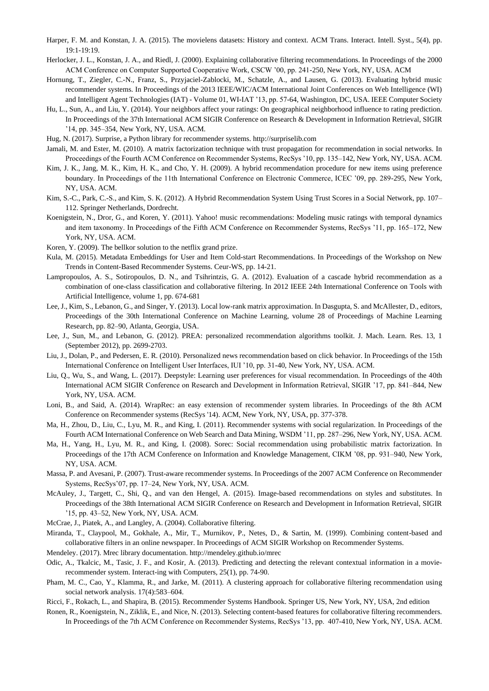- Harper, F. M. and Konstan, J. A. (2015). The movielens datasets: History and context. ACM Trans. Interact. Intell. Syst., 5(4), pp. 19:1-19:19.
- Herlocker, J. L., Konstan, J. A., and Riedl, J. (2000). Explaining collaborative filtering recommendations. In Proceedings of the 2000 ACM Conference on Computer Supported Cooperative Work, CSCW '00, pp. 241-250, New York, NY, USA. ACM
- Hornung, T., Ziegler, C.-N., Franz, S., Przyjaciel-Zablocki, M., Schatzle, A., and Lausen, G. (2013). Evaluating hybrid music recommender systems. In Proceedings of the 2013 IEEE/WIC/ACM International Joint Conferences on Web Intelligence (WI) and Intelligent Agent Technologies (IAT) - Volume 01, WI-IAT '13, pp. 57-64, Washington, DC, USA. IEEE Computer Society
- Hu, L., Sun, A., and Liu, Y. (2014). Your neighbors affect your ratings: On geographical neighborhood influence to rating prediction. In Proceedings of the 37th International ACM SIGIR Conference on Research & Development in Information Retrieval, SIGIR '14, pp. 345–354, New York, NY, USA. ACM.
- Hug, N. (2017). Surprise, a Python library for recommender systems. http://surpriselib.com
- Jamali, M. and Ester, M. (2010). A matrix factorization technique with trust propagation for recommendation in social networks. In Proceedings of the Fourth ACM Conference on Recommender Systems, RecSys '10, pp. 135–142, New York, NY, USA. ACM.
- Kim, J. K., Jang, M. K., Kim, H. K., and Cho, Y. H. (2009). A hybrid recommendation procedure for new items using preference boundary. In Proceedings of the 11th International Conference on Electronic Commerce, ICEC '09, pp. 289-295, New York, NY, USA. ACM.
- Kim, S.-C., Park, C.-S., and Kim, S. K. (2012). A Hybrid Recommendation System Using Trust Scores in a Social Network, pp. 107– 112. Springer Netherlands, Dordrecht.
- Koenigstein, N., Dror, G., and Koren, Y. (2011). Yahoo! music recommendations: Modeling music ratings with temporal dynamics and item taxonomy. In Proceedings of the Fifth ACM Conference on Recommender Systems, RecSys '11, pp. 165–172, New York, NY, USA. ACM.
- Koren, Y. (2009). The bellkor solution to the netflix grand prize.
- Kula, M. (2015). Metadata Embeddings for User and Item Cold-start Recommendations. In Proceedings of the Workshop on New Trends in Content-Based Recommender Systems. Ceur-WS, pp. 14-21.
- Lampropoulos, A. S., Sotiropoulos, D. N., and Tsihrintzis, G. A. (2012). Evaluation of a cascade hybrid recommendation as a combination of one-class classification and collaborative filtering. In 2012 IEEE 24th International Conference on Tools with Artificial Intelligence, volume 1, pp. 674-681
- Lee, J., Kim, S., Lebanon, G., and Singer, Y. (2013). Local low-rank matrix approximation. In Dasgupta, S. and McAllester, D., editors, Proceedings of the 30th International Conference on Machine Learning, volume 28 of Proceedings of Machine Learning Research, pp. 82–90, Atlanta, Georgia, USA.
- Lee, J., Sun, M., and Lebanon, G. (2012). PREA: personalized recommendation algorithms toolkit. J. Mach. Learn. Res. 13, 1 (September 2012), pp. 2699-2703.
- Liu, J., Dolan, P., and Pedersen, E. R. (2010). Personalized news recommendation based on click behavior. In Proceedings of the 15th International Conference on Intelligent User Interfaces, IUI '10, pp. 31-40, New York, NY, USA. ACM.
- Liu, Q., Wu, S., and Wang, L. (2017). Deepstyle: Learning user preferences for visual recommendation. In Proceedings of the 40th International ACM SIGIR Conference on Research and Development in Information Retrieval, SIGIR '17, pp. 841–844, New York, NY, USA. ACM.
- Loni, B., and Said, A. (2014). WrapRec: an easy extension of recommender system libraries. In Proceedings of the 8th ACM Conference on Recommender systems (RecSys '14). ACM, New York, NY, USA, pp. 377-378.
- Ma, H., Zhou, D., Liu, C., Lyu, M. R., and King, I. (2011). Recommender systems with social regularization. In Proceedings of the Fourth ACM International Conference on Web Search and Data Mining, WSDM '11, pp. 287–296, New York, NY, USA. ACM.
- Ma, H., Yang, H., Lyu, M. R., and King, I. (2008). Sorec: Social recommendation using probabilistic matrix factorization. In Proceedings of the 17th ACM Conference on Information and Knowledge Management, CIKM '08, pp. 931–940, New York, NY, USA. ACM.
- Massa, P. and Avesani, P. (2007). Trust-aware recommender systems. In Proceedings of the 2007 ACM Conference on Recommender Systems, RecSys'07, pp. 17–24, New York, NY, USA. ACM.
- McAuley, J., Targett, C., Shi, Q., and van den Hengel, A. (2015). Image-based recommendations on styles and substitutes. In Proceedings of the 38th International ACM SIGIR Conference on Research and Development in Information Retrieval, SIGIR '15, pp. 43–52, New York, NY, USA. ACM.
- McCrae, J., Piatek, A., and Langley, A. (2004). Collaborative filtering.
- Miranda, T., Claypool, M., Gokhale, A., Mir, T., Murnikov, P., Netes, D., & Sartin, M. (1999). Combining content-based and collaborative filters in an online newspaper. In Proceedings of ACM SIGIR Workshop on Recommender Systems.
- Mendeley. (2017). Mrec library documentation. http://mendeley.github.io/mrec
- Odic, A., Tkalcic, M., Tasic, J. F., and Kosir, A. (2013). Predicting and detecting the relevant contextual information in a movierecommender system. Interact-ing with Computers, 25(1), pp. 74-90.
- Pham, M. C., Cao, Y., Klamma, R., and Jarke, M. (2011). A clustering approach for collaborative filtering recommendation using social network analysis. 17(4):583–604.
- Ricci, F., Rokach, L., and Shapira, B. (2015). Recommender Systems Handbook. Springer US, New York, NY, USA, 2nd edition
- Ronen, R., Koenigstein, N., Ziklik, E., and Nice, N. (2013). Selecting content-based features for collaborative filtering recommenders. In Proceedings of the 7th ACM Conference on Recommender Systems, RecSys '13, pp. 407-410, New York, NY, USA. ACM.